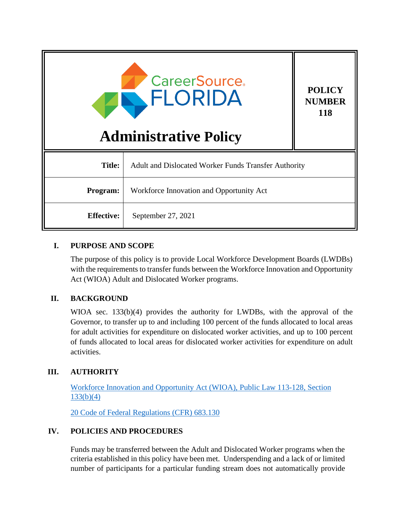| <b>CareerSource.</b><br><b>POLICY</b><br>FLORIDA<br><b>118</b><br><b>Administrative Policy</b> |                                                             | <b>NUMBER</b> |
|------------------------------------------------------------------------------------------------|-------------------------------------------------------------|---------------|
| <b>Title:</b>                                                                                  | <b>Adult and Dislocated Worker Funds Transfer Authority</b> |               |
| Program:                                                                                       | Workforce Innovation and Opportunity Act                    |               |
| <b>Effective:</b>                                                                              | September 27, 2021                                          |               |

## **I. PURPOSE AND SCOPE**

The purpose of this policy is to provide Local Workforce Development Boards (LWDBs) with the requirements to transfer funds between the Workforce Innovation and Opportunity Act (WIOA) Adult and Dislocated Worker programs.

## **II. BACKGROUND**

WIOA sec. 133(b)(4) provides the authority for LWDBs, with the approval of the Governor, to transfer up to and including 100 percent of the funds allocated to local areas for adult activities for expenditure on dislocated worker activities, and up to 100 percent of funds allocated to local areas for dislocated worker activities for expenditure on adult activities.

# **III. AUTHORITY**

[Workforce Innovation and Opportunity Act \(WIOA\), Public Law 113-128, Section](https://www.govinfo.gov/content/pkg/PLAW-113publ128/pdf/PLAW-113publ128.pdf)  $133(b)(4)$ 

[20 Code of Federal Regulations](https://www.law.cornell.edu/cfr/text/20/683.130) (CFR) 683.130

## **IV. POLICIES AND PROCEDURES**

Funds may be transferred between the Adult and Dislocated Worker programs when the criteria established in this policy have been met. Underspending and a lack of or limited number of participants for a particular funding stream does not automatically provide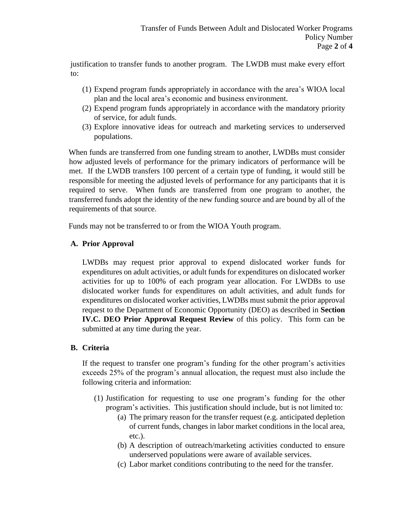justification to transfer funds to another program. The LWDB must make every effort to:

- (1) Expend program funds appropriately in accordance with the area's WIOA local plan and the local area's economic and business environment.
- (2) Expend program funds appropriately in accordance with the mandatory priority of service, for adult funds.
- (3) Explore innovative ideas for outreach and marketing services to underserved populations.

When funds are transferred from one funding stream to another, LWDBs must consider how adjusted levels of performance for the primary indicators of performance will be met. If the LWDB transfers 100 percent of a certain type of funding, it would still be responsible for meeting the adjusted levels of performance for any participants that it is required to serve. When funds are transferred from one program to another, the transferred funds adopt the identity of the new funding source and are bound by all of the requirements of that source.

Funds may not be transferred to or from the WIOA Youth program.

## **A. Prior Approval**

LWDBs may request prior approval to expend dislocated worker funds for expenditures on adult activities, or adult funds for expenditures on dislocated worker activities for up to 100% of each program year allocation. For LWDBs to use dislocated worker funds for expenditures on adult activities, and adult funds for expenditures on dislocated worker activities, LWDBs must submit the prior approval request to the Department of Economic Opportunity (DEO) as described in **Section IV.C. DEO Prior Approval Request Review** of this policy. This form can be submitted at any time during the year.

## **B. Criteria**

If the request to transfer one program's funding for the other program's activities exceeds 25% of the program's annual allocation, the request must also include the following criteria and information:

- (1) Justification for requesting to use one program's funding for the other program's activities. This justification should include, but is not limited to:
	- (a) The primary reason for the transfer request (e.g. anticipated depletion of current funds, changes in labor market conditions in the local area, etc.).
	- (b) A description of outreach/marketing activities conducted to ensure underserved populations were aware of available services.
	- (c) Labor market conditions contributing to the need for the transfer.